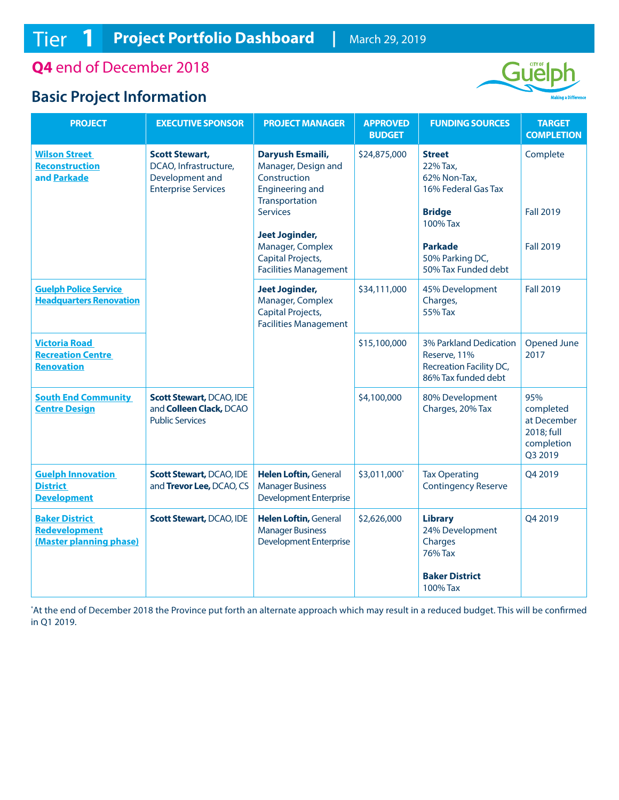**Q4** end of December 2018

## **Basic Project Information**



| <b>PROJECT</b>                                                        | <b>EXECUTIVE SPONSOR</b>                                                                        | <b>PROJECT MANAGER</b>                                                                                                 | <b>APPROVED</b><br><b>BUDGET</b> | <b>FUNDING SOURCES</b>                                                                   | <b>TARGET</b><br><b>COMPLETION</b>                                     |
|-----------------------------------------------------------------------|-------------------------------------------------------------------------------------------------|------------------------------------------------------------------------------------------------------------------------|----------------------------------|------------------------------------------------------------------------------------------|------------------------------------------------------------------------|
| <b>Wilson Street</b><br><b>Reconstruction</b><br>and Parkade          | <b>Scott Stewart,</b><br>DCAO, Infrastructure,<br>Development and<br><b>Enterprise Services</b> | Daryush Esmaili,<br>Manager, Design and<br>Construction<br><b>Engineering and</b><br>Transportation<br><b>Services</b> | \$24,875,000                     | <b>Street</b><br>22% Tax,<br>62% Non-Tax,<br>16% Federal Gas Tax<br><b>Bridge</b>        | Complete<br><b>Fall 2019</b>                                           |
|                                                                       |                                                                                                 | <b>Jeet Joginder,</b>                                                                                                  |                                  | 100% Tax                                                                                 |                                                                        |
|                                                                       |                                                                                                 | Manager, Complex<br>Capital Projects,<br><b>Facilities Management</b>                                                  |                                  | <b>Parkade</b><br>50% Parking DC,<br>50% Tax Funded debt                                 | <b>Fall 2019</b>                                                       |
| <b>Guelph Police Service</b><br><b>Headquarters Renovation</b>        |                                                                                                 | <b>Jeet Joginder,</b><br>Manager, Complex<br>Capital Projects,<br><b>Facilities Management</b>                         | \$34,111,000                     | 45% Development<br>Charges,<br>55% Tax                                                   | <b>Fall 2019</b>                                                       |
| <b>Victoria Road</b><br><b>Recreation Centre</b><br><b>Renovation</b> |                                                                                                 |                                                                                                                        | \$15,100,000                     | 3% Parkland Dedication<br>Reserve, 11%<br>Recreation Facility DC,<br>86% Tax funded debt | Opened June<br>2017                                                    |
| <b>South End Community</b><br><b>Centre Design</b>                    | <b>Scott Stewart, DCAO, IDE</b><br>and Colleen Clack, DCAO<br><b>Public Services</b>            |                                                                                                                        | \$4,100,000                      | 80% Development<br>Charges, 20% Tax                                                      | 95%<br>completed<br>at December<br>2018; full<br>completion<br>Q3 2019 |
| <b>Guelph Innovation</b><br><b>District</b><br><b>Development</b>     | <b>Scott Stewart, DCAO, IDE</b><br>and Trevor Lee, DCAO, CS                                     | <b>Helen Loftin, General</b><br><b>Manager Business</b><br><b>Development Enterprise</b>                               | \$3,011,000*                     | <b>Tax Operating</b><br><b>Contingency Reserve</b>                                       | Q4 2019                                                                |
| <b>Baker District</b><br>Redevelopment<br>(Master planning phase)     | <b>Scott Stewart, DCAO, IDE</b>                                                                 | Helen Loftin, General<br><b>Manager Business</b><br><b>Development Enterprise</b>                                      | \$2,626,000                      | <b>Library</b><br>24% Development<br>Charges<br>76% Tax<br><b>Baker District</b>         | Q4 2019                                                                |
|                                                                       |                                                                                                 |                                                                                                                        |                                  | 100% Tax                                                                                 |                                                                        |

\* At the end of December 2018 the Province put forth an alternate approach which may result in a reduced budget. This will be confirmed in Q1 2019.